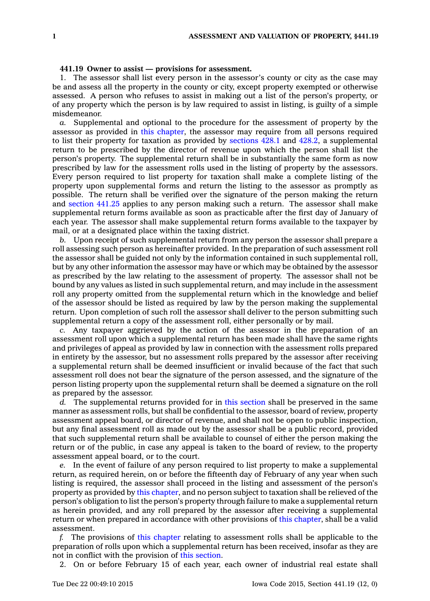## **441.19 Owner to assist — provisions for assessment.**

1. The assessor shall list every person in the assessor's county or city as the case may be and assess all the property in the county or city, except property exempted or otherwise assessed. A person who refuses to assist in making out <sup>a</sup> list of the person's property, or of any property which the person is by law required to assist in listing, is guilty of <sup>a</sup> simple misdemeanor.

*a.* Supplemental and optional to the procedure for the assessment of property by the assessor as provided in this [chapter](https://www.legis.iowa.gov/docs/code//441.pdf), the assessor may require from all persons required to list their property for taxation as provided by [sections](https://www.legis.iowa.gov/docs/code//428.1.pdf) 428.1 and [428.2](https://www.legis.iowa.gov/docs/code//428.2.pdf), <sup>a</sup> supplemental return to be prescribed by the director of revenue upon which the person shall list the person's property. The supplemental return shall be in substantially the same form as now prescribed by law for the assessment rolls used in the listing of property by the assessors. Every person required to list property for taxation shall make <sup>a</sup> complete listing of the property upon supplemental forms and return the listing to the assessor as promptly as possible. The return shall be verified over the signature of the person making the return and [section](https://www.legis.iowa.gov/docs/code//441.25.pdf) 441.25 applies to any person making such <sup>a</sup> return. The assessor shall make supplemental return forms available as soon as practicable after the first day of January of each year. The assessor shall make supplemental return forms available to the taxpayer by mail, or at <sup>a</sup> designated place within the taxing district.

*b.* Upon receipt of such supplemental return from any person the assessor shall prepare <sup>a</sup> roll assessing such person as hereinafter provided. In the preparation of such assessment roll the assessor shall be guided not only by the information contained in such supplemental roll, but by any other information the assessor may have or which may be obtained by the assessor as prescribed by the law relating to the assessment of property. The assessor shall not be bound by any values as listed in such supplemental return, and may include in the assessment roll any property omitted from the supplemental return which in the knowledge and belief of the assessor should be listed as required by law by the person making the supplemental return. Upon completion of such roll the assessor shall deliver to the person submitting such supplemental return <sup>a</sup> copy of the assessment roll, either personally or by mail.

*c.* Any taxpayer aggrieved by the action of the assessor in the preparation of an assessment roll upon which <sup>a</sup> supplemental return has been made shall have the same rights and privileges of appeal as provided by law in connection with the assessment rolls prepared in entirety by the assessor, but no assessment rolls prepared by the assessor after receiving <sup>a</sup> supplemental return shall be deemed insufficient or invalid because of the fact that such assessment roll does not bear the signature of the person assessed, and the signature of the person listing property upon the supplemental return shall be deemed <sup>a</sup> signature on the roll as prepared by the assessor.

*d.* The supplemental returns provided for in this [section](https://www.legis.iowa.gov/docs/code//441.19.pdf) shall be preserved in the same manner as assessment rolls, but shall be confidential to the assessor, board of review, property assessment appeal board, or director of revenue, and shall not be open to public inspection, but any final assessment roll as made out by the assessor shall be <sup>a</sup> public record, provided that such supplemental return shall be available to counsel of either the person making the return or of the public, in case any appeal is taken to the board of review, to the property assessment appeal board, or to the court.

*e.* In the event of failure of any person required to list property to make <sup>a</sup> supplemental return, as required herein, on or before the fifteenth day of February of any year when such listing is required, the assessor shall proceed in the listing and assessment of the person's property as provided by this [chapter](https://www.legis.iowa.gov/docs/code//441.pdf), and no person subject to taxation shall be relieved of the person's obligation to list the person's property through failure to make <sup>a</sup> supplemental return as herein provided, and any roll prepared by the assessor after receiving <sup>a</sup> supplemental return or when prepared in accordance with other provisions of this [chapter](https://www.legis.iowa.gov/docs/code//441.pdf), shall be <sup>a</sup> valid assessment.

*f.* The provisions of this [chapter](https://www.legis.iowa.gov/docs/code//441.pdf) relating to assessment rolls shall be applicable to the preparation of rolls upon which <sup>a</sup> supplemental return has been received, insofar as they are not in conflict with the provision of this [section](https://www.legis.iowa.gov/docs/code//441.19.pdf).

2. On or before February 15 of each year, each owner of industrial real estate shall